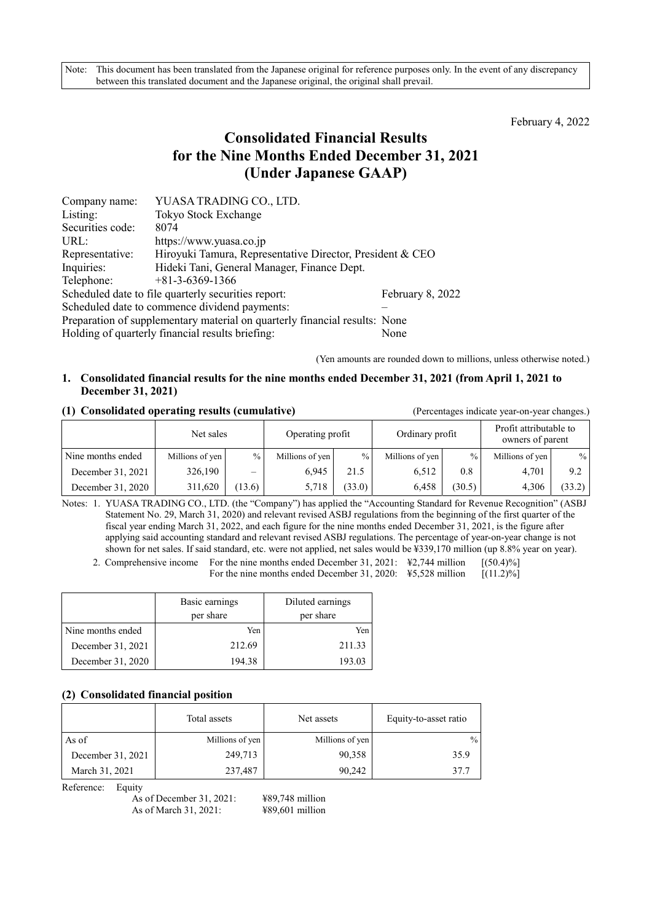February 4, 2022

# **Consolidated Financial Results for the Nine Months Ended December 31, 2021 (Under Japanese GAAP)**

| Company name:                                                              | YUASA TRADING CO., LTD.                                   |                  |  |  |  |
|----------------------------------------------------------------------------|-----------------------------------------------------------|------------------|--|--|--|
| Listing:                                                                   | Tokyo Stock Exchange                                      |                  |  |  |  |
| Securities code:                                                           | 8074                                                      |                  |  |  |  |
| URL:                                                                       | https://www.yuasa.co.jp                                   |                  |  |  |  |
| Representative:                                                            | Hiroyuki Tamura, Representative Director, President & CEO |                  |  |  |  |
| Inquiries:                                                                 | Hideki Tani, General Manager, Finance Dept.               |                  |  |  |  |
| Telephone:                                                                 | $+81-3-6369-1366$                                         |                  |  |  |  |
|                                                                            | Scheduled date to file quarterly securities report:       | February 8, 2022 |  |  |  |
| Scheduled date to commence dividend payments:                              |                                                           |                  |  |  |  |
| Preparation of supplementary material on quarterly financial results: None |                                                           |                  |  |  |  |
|                                                                            | Holding of quarterly financial results briefing:          | None             |  |  |  |

(Yen amounts are rounded down to millions, unless otherwise noted.)

### **1. Consolidated financial results for the nine months ended December 31, 2021 (from April 1, 2021 to December 31, 2021)**

#### **(1) Consolidated operating results (cumulative)** (Percentages indicate year-on-year changes.)

|                   | Net sales       |        | Operating profit |               | Ordinary profit |        | Profit attributable to<br>owners of parent |        |
|-------------------|-----------------|--------|------------------|---------------|-----------------|--------|--------------------------------------------|--------|
| Nine months ended | Millions of yen | $\%$ . | Millions of yen  | $\frac{0}{0}$ | Millions of yen | $\%$   | Millions of yen                            | $\%$   |
| December 31, 2021 | 326,190         | —      | 6.945            | 21.5          | 6.512           | 0.8    | 4.701                                      | 9.2    |
| December 31, 2020 | 311,620         | (13.6) | 5,718            | (33.0)        | 6.458           | (30.5) | 4.306                                      | (33.2) |

Notes: 1. YUASA TRADING CO., LTD. (the "Company") has applied the "Accounting Standard for Revenue Recognition" (ASBJ Statement No. 29, March 31, 2020) and relevant revised ASBJ regulations from the beginning of the first quarter of the fiscal year ending March 31, 2022, and each figure for the nine months ended December 31, 2021, is the figure after applying said accounting standard and relevant revised ASBJ regulations. The percentage of year-on-year change is not shown for net sales. If said standard, etc. were not applied, net sales would be ¥339,170 million (up 8.8% year on year).

2. Comprehensive income For the nine months ended December 31, 2021: ¥2,744 million [(50.4)%] For the nine months ended December 31, 2020: \ff \times 5.528 million [(11.2)%]

|                   | Basic earnings<br>per share | Diluted earnings<br>per share |
|-------------------|-----------------------------|-------------------------------|
| Nine months ended | Yen                         | Yen                           |
| December 31, 2021 | 212.69                      | 211.33                        |
| December 31, 2020 | 194.38                      | 193.03                        |

# **(2) Consolidated financial position**

|                   | Total assets    | Net assets      | Equity-to-asset ratio |
|-------------------|-----------------|-----------------|-----------------------|
| As of             | Millions of yen | Millions of yen | $\frac{0}{0}$         |
| December 31, 2021 | 249,713         | 90,358          | 35.9                  |
| March 31, 2021    | 237,487         | 90.242          | 37.7                  |

Reference: Equity

As of December 31, 2021: ¥89,748 million As of March 31, 2021: ¥89,601 million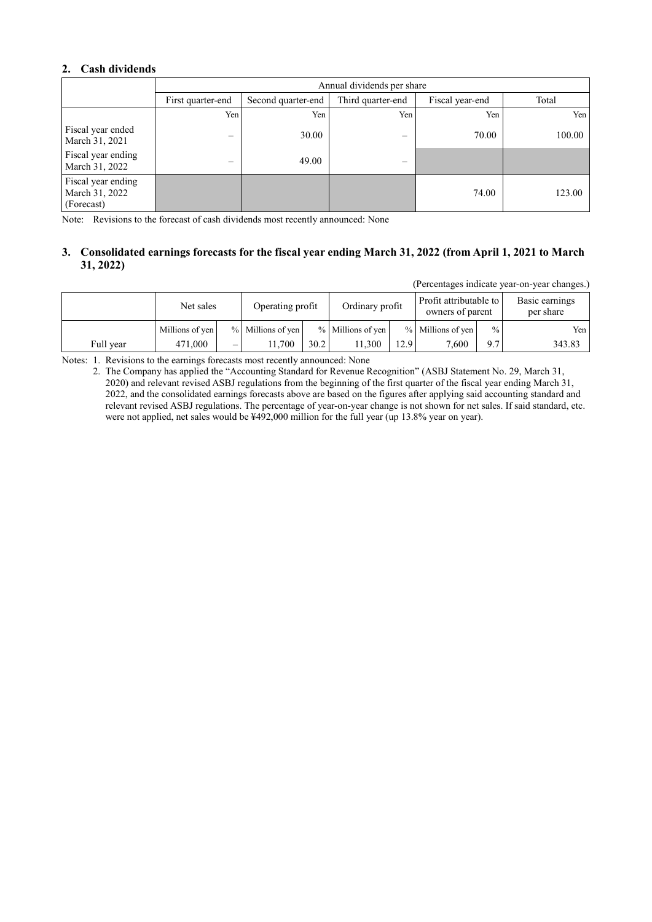# **2. Cash dividends**

|                                                    | Annual dividends per share |                    |                 |       |        |  |  |  |
|----------------------------------------------------|----------------------------|--------------------|-----------------|-------|--------|--|--|--|
|                                                    | First quarter-end          | Second quarter-end | Fiscal year-end | Total |        |  |  |  |
|                                                    | Yen                        | Yen                | Yen             | Yen   | Yen    |  |  |  |
| Fiscal year ended<br>March 31, 2021                |                            | 30.00              |                 | 70.00 | 100.00 |  |  |  |
| Fiscal year ending<br>March 31, 2022               | –                          | 49.00              | –               |       |        |  |  |  |
| Fiscal year ending<br>March 31, 2022<br>(Forecast) |                            |                    |                 | 74.00 | 123.00 |  |  |  |

Note: Revisions to the forecast of cash dividends most recently announced: None

# **3. Consolidated earnings forecasts for the fiscal year ending March 31, 2022 (from April 1, 2021 to March 31, 2022)**

(Percentages indicate year-on-year changes.)

|           | Net sales       |                          |                   | Ordinary profit<br>Operating profit |                   |      | Profit attributable to<br>owners of parent |      | Basic earnings<br>per share |
|-----------|-----------------|--------------------------|-------------------|-------------------------------------|-------------------|------|--------------------------------------------|------|-----------------------------|
|           | Millions of yen |                          | % Millions of yen |                                     | % Millions of yen |      | % Millions of yen                          | $\%$ | Yen l                       |
| Full year | 471,000         | $\overline{\phantom{0}}$ | 1.700             | 30.2                                | 11.300            | 12.9 | 7.600                                      | 9.7  | 343.83                      |

Notes: 1. Revisions to the earnings forecasts most recently announced: None

2. The Company has applied the "Accounting Standard for Revenue Recognition" (ASBJ Statement No. 29, March 31, 2020) and relevant revised ASBJ regulations from the beginning of the first quarter of the fiscal year ending March 31, 2022, and the consolidated earnings forecasts above are based on the figures after applying said accounting standard and relevant revised ASBJ regulations. The percentage of year-on-year change is not shown for net sales. If said standard, etc. were not applied, net sales would be ¥492,000 million for the full year (up 13.8% year on year).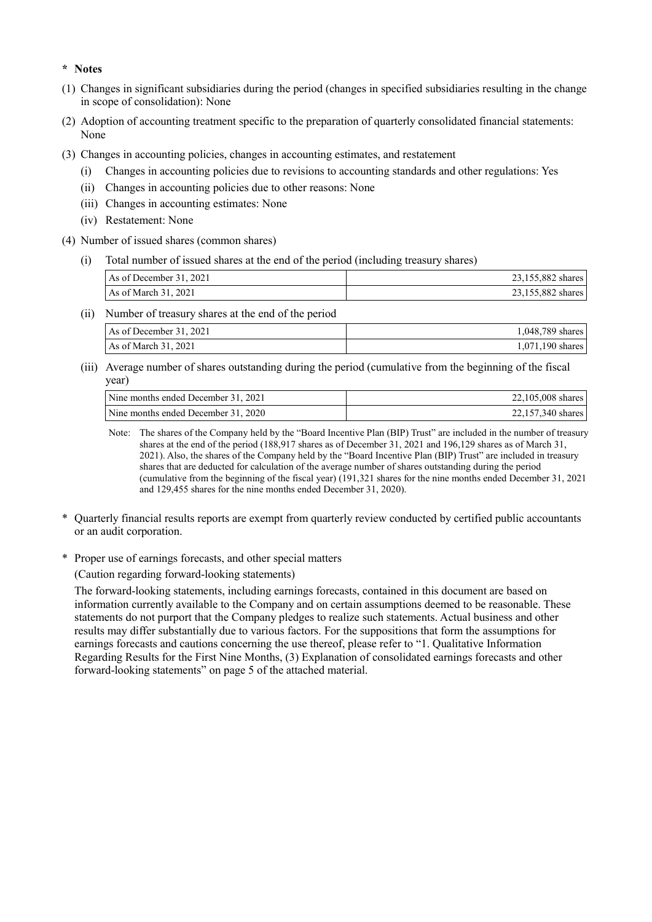#### **\* Notes**

- (1) Changes in significant subsidiaries during the period (changes in specified subsidiaries resulting in the change in scope of consolidation): None
- (2) Adoption of accounting treatment specific to the preparation of quarterly consolidated financial statements: None
- (3) Changes in accounting policies, changes in accounting estimates, and restatement
	- (i) Changes in accounting policies due to revisions to accounting standards and other regulations: Yes
	- (ii) Changes in accounting policies due to other reasons: None
	- (iii) Changes in accounting estimates: None
	- (iv) Restatement: None
- (4) Number of issued shares (common shares)
	- (i) Total number of issued shares at the end of the period (including treasury shares)

| As of December 31, 2021 | 23,155,882 shares |
|-------------------------|-------------------|
| As of March $31,2021$   | 23,155,882 shares |

- (ii) Number of treasury shares at the end of the period As of December 31, 2021 1,048,789 shares
- $\vert$  As of March 31, 2021 1,071,190 shares (iii) Average number of shares outstanding during the period (cumulative from the beginning of the fiscal
- year)

| Nine months ended December 31, 2021 | 22,105,008 shares |
|-------------------------------------|-------------------|
| Nine months ended December 31, 2020 | 22,157,340 shares |

Note: The shares of the Company held by the "Board Incentive Plan (BIP) Trust" are included in the number of treasury shares at the end of the period (188,917 shares as of December 31, 2021 and 196,129 shares as of March 31, 2021). Also, the shares of the Company held by the "Board Incentive Plan (BIP) Trust" are included in treasury shares that are deducted for calculation of the average number of shares outstanding during the period (cumulative from the beginning of the fiscal year) (191,321 shares for the nine months ended December 31, 2021 and 129,455 shares for the nine months ended December 31, 2020).

- \* Quarterly financial results reports are exempt from quarterly review conducted by certified public accountants or an audit corporation.
- \* Proper use of earnings forecasts, and other special matters

(Caution regarding forward-looking statements)

The forward-looking statements, including earnings forecasts, contained in this document are based on information currently available to the Company and on certain assumptions deemed to be reasonable. These statements do not purport that the Company pledges to realize such statements. Actual business and other results may differ substantially due to various factors. For the suppositions that form the assumptions for earnings forecasts and cautions concerning the use thereof, please refer to "1. Qualitative Information Regarding Results for the First Nine Months, (3) Explanation of consolidated earnings forecasts and other forward-looking statements" on page 5 of the attached material.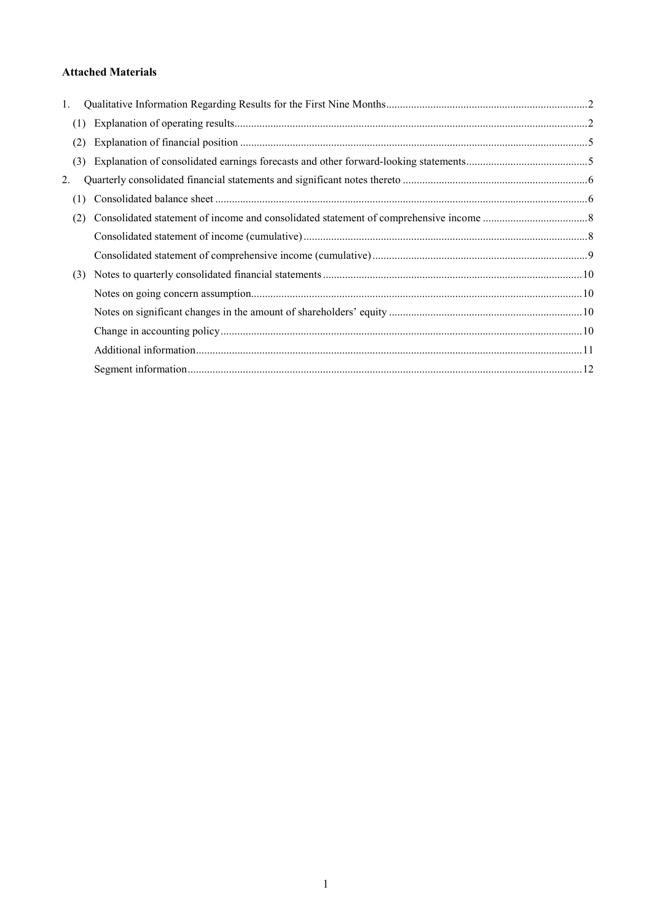# **Attached Materials**

| 1.  |     |  |
|-----|-----|--|
| (1) |     |  |
| (2) |     |  |
|     | (3) |  |
| 2.  |     |  |
| (1) |     |  |
| (2) |     |  |
|     |     |  |
|     |     |  |
|     | (3) |  |
|     |     |  |
|     |     |  |
|     |     |  |
|     |     |  |
|     |     |  |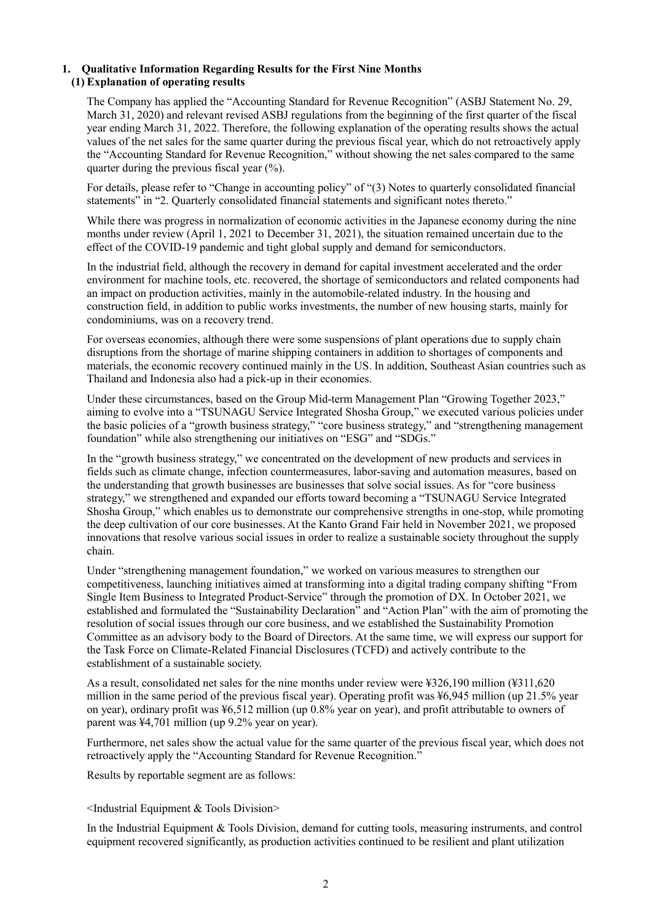# **1. Qualitative Information Regarding Results for the First Nine Months (1) Explanation of operating results**

The Company has applied the "Accounting Standard for Revenue Recognition" (ASBJ Statement No. 29, March 31, 2020) and relevant revised ASBJ regulations from the beginning of the first quarter of the fiscal year ending March 31, 2022. Therefore, the following explanation of the operating results shows the actual values of the net sales for the same quarter during the previous fiscal year, which do not retroactively apply the "Accounting Standard for Revenue Recognition," without showing the net sales compared to the same quarter during the previous fiscal year  $(\% )$ .

For details, please refer to "Change in accounting policy" of "(3) Notes to quarterly consolidated financial statements" in "2. Quarterly consolidated financial statements and significant notes thereto."

While there was progress in normalization of economic activities in the Japanese economy during the nine months under review (April 1, 2021 to December 31, 2021), the situation remained uncertain due to the effect of the COVID-19 pandemic and tight global supply and demand for semiconductors.

In the industrial field, although the recovery in demand for capital investment accelerated and the order environment for machine tools, etc. recovered, the shortage of semiconductors and related components had an impact on production activities, mainly in the automobile-related industry. In the housing and construction field, in addition to public works investments, the number of new housing starts, mainly for condominiums, was on a recovery trend.

For overseas economies, although there were some suspensions of plant operations due to supply chain disruptions from the shortage of marine shipping containers in addition to shortages of components and materials, the economic recovery continued mainly in the US. In addition, Southeast Asian countries such as Thailand and Indonesia also had a pick-up in their economies.

Under these circumstances, based on the Group Mid-term Management Plan "Growing Together 2023," aiming to evolve into a "TSUNAGU Service Integrated Shosha Group," we executed various policies under the basic policies of a "growth business strategy," "core business strategy," and "strengthening management foundation" while also strengthening our initiatives on "ESG" and "SDGs."

In the "growth business strategy," we concentrated on the development of new products and services in fields such as climate change, infection countermeasures, labor-saving and automation measures, based on the understanding that growth businesses are businesses that solve social issues. As for "core business strategy," we strengthened and expanded our efforts toward becoming a "TSUNAGU Service Integrated Shosha Group," which enables us to demonstrate our comprehensive strengths in one-stop, while promoting the deep cultivation of our core businesses. At the Kanto Grand Fair held in November 2021, we proposed innovations that resolve various social issues in order to realize a sustainable society throughout the supply chain.

Under "strengthening management foundation," we worked on various measures to strengthen our competitiveness, launching initiatives aimed at transforming into a digital trading company shifting "From Single Item Business to Integrated Product-Service" through the promotion of DX. In October 2021, we established and formulated the "Sustainability Declaration" and "Action Plan" with the aim of promoting the resolution of social issues through our core business, and we established the Sustainability Promotion Committee as an advisory body to the Board of Directors. At the same time, we will express our support for the Task Force on Climate-Related Financial Disclosures (TCFD) and actively contribute to the establishment of a sustainable society.

As a result, consolidated net sales for the nine months under review were ¥326,190 million (¥311,620 million in the same period of the previous fiscal year). Operating profit was ¥6,945 million (up 21.5% year on year), ordinary profit was ¥6,512 million (up 0.8% year on year), and profit attributable to owners of parent was ¥4,701 million (up 9.2% year on year).

Furthermore, net sales show the actual value for the same quarter of the previous fiscal year, which does not retroactively apply the "Accounting Standard for Revenue Recognition."

Results by reportable segment are as follows:

#### <Industrial Equipment & Tools Division>

In the Industrial Equipment & Tools Division, demand for cutting tools, measuring instruments, and control equipment recovered significantly, as production activities continued to be resilient and plant utilization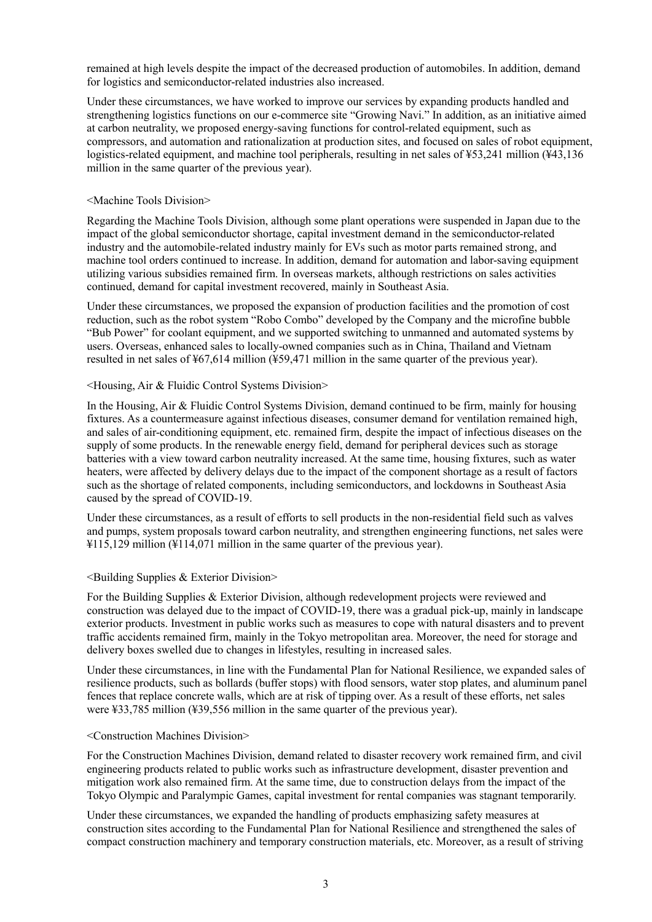remained at high levels despite the impact of the decreased production of automobiles. In addition, demand for logistics and semiconductor-related industries also increased.

Under these circumstances, we have worked to improve our services by expanding products handled and strengthening logistics functions on our e-commerce site "Growing Navi." In addition, as an initiative aimed at carbon neutrality, we proposed energy-saving functions for control-related equipment, such as compressors, and automation and rationalization at production sites, and focused on sales of robot equipment, logistics-related equipment, and machine tool peripherals, resulting in net sales of ¥53,241 million (¥43,136 million in the same quarter of the previous year).

#### <Machine Tools Division>

Regarding the Machine Tools Division, although some plant operations were suspended in Japan due to the impact of the global semiconductor shortage, capital investment demand in the semiconductor-related industry and the automobile-related industry mainly for EVs such as motor parts remained strong, and machine tool orders continued to increase. In addition, demand for automation and labor-saving equipment utilizing various subsidies remained firm. In overseas markets, although restrictions on sales activities continued, demand for capital investment recovered, mainly in Southeast Asia.

Under these circumstances, we proposed the expansion of production facilities and the promotion of cost reduction, such as the robot system "Robo Combo" developed by the Company and the microfine bubble "Bub Power" for coolant equipment, and we supported switching to unmanned and automated systems by users. Overseas, enhanced sales to locally-owned companies such as in China, Thailand and Vietnam resulted in net sales of ¥67,614 million (¥59,471 million in the same quarter of the previous year).

#### <Housing, Air & Fluidic Control Systems Division>

In the Housing, Air & Fluidic Control Systems Division, demand continued to be firm, mainly for housing fixtures. As a countermeasure against infectious diseases, consumer demand for ventilation remained high, and sales of air-conditioning equipment, etc. remained firm, despite the impact of infectious diseases on the supply of some products. In the renewable energy field, demand for peripheral devices such as storage batteries with a view toward carbon neutrality increased. At the same time, housing fixtures, such as water heaters, were affected by delivery delays due to the impact of the component shortage as a result of factors such as the shortage of related components, including semiconductors, and lockdowns in Southeast Asia caused by the spread of COVID-19.

Under these circumstances, as a result of efforts to sell products in the non-residential field such as valves and pumps, system proposals toward carbon neutrality, and strengthen engineering functions, net sales were ¥115,129 million (¥114,071 million in the same quarter of the previous year).

# <Building Supplies & Exterior Division>

For the Building Supplies & Exterior Division, although redevelopment projects were reviewed and construction was delayed due to the impact of COVID-19, there was a gradual pick-up, mainly in landscape exterior products. Investment in public works such as measures to cope with natural disasters and to prevent traffic accidents remained firm, mainly in the Tokyo metropolitan area. Moreover, the need for storage and delivery boxes swelled due to changes in lifestyles, resulting in increased sales.

Under these circumstances, in line with the Fundamental Plan for National Resilience, we expanded sales of resilience products, such as bollards (buffer stops) with flood sensors, water stop plates, and aluminum panel fences that replace concrete walls, which are at risk of tipping over. As a result of these efforts, net sales were ¥33,785 million (¥39,556 million in the same quarter of the previous year).

#### <Construction Machines Division>

For the Construction Machines Division, demand related to disaster recovery work remained firm, and civil engineering products related to public works such as infrastructure development, disaster prevention and mitigation work also remained firm. At the same time, due to construction delays from the impact of the Tokyo Olympic and Paralympic Games, capital investment for rental companies was stagnant temporarily.

Under these circumstances, we expanded the handling of products emphasizing safety measures at construction sites according to the Fundamental Plan for National Resilience and strengthened the sales of compact construction machinery and temporary construction materials, etc. Moreover, as a result of striving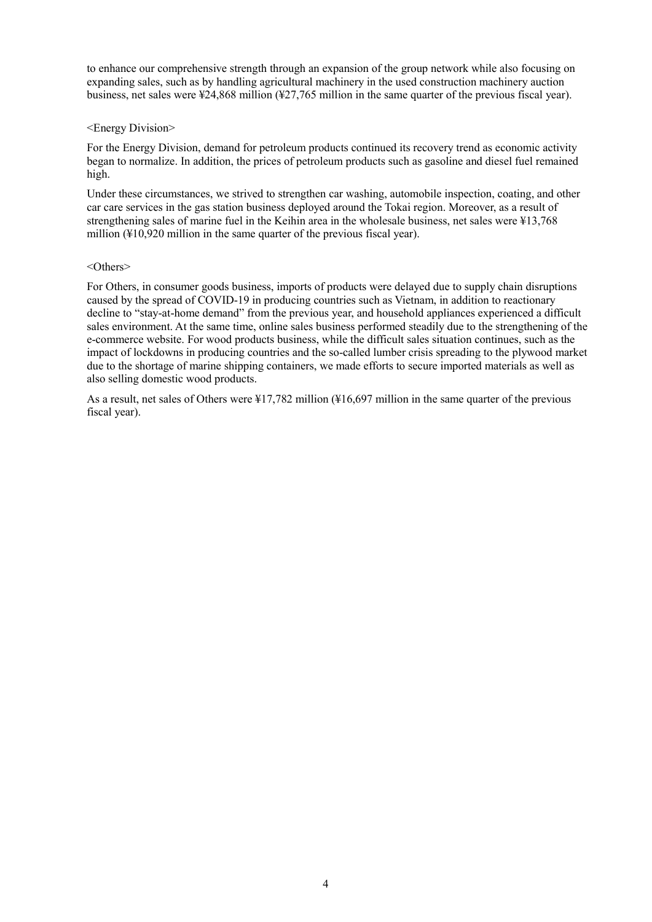to enhance our comprehensive strength through an expansion of the group network while also focusing on expanding sales, such as by handling agricultural machinery in the used construction machinery auction business, net sales were ¥24,868 million (¥27,765 million in the same quarter of the previous fiscal year).

#### <Energy Division>

For the Energy Division, demand for petroleum products continued its recovery trend as economic activity began to normalize. In addition, the prices of petroleum products such as gasoline and diesel fuel remained high.

Under these circumstances, we strived to strengthen car washing, automobile inspection, coating, and other car care services in the gas station business deployed around the Tokai region. Moreover, as a result of strengthening sales of marine fuel in the Keihin area in the wholesale business, net sales were ¥13,768 million (¥10,920 million in the same quarter of the previous fiscal year).

#### <Others>

For Others, in consumer goods business, imports of products were delayed due to supply chain disruptions caused by the spread of COVID-19 in producing countries such as Vietnam, in addition to reactionary decline to "stay-at-home demand" from the previous year, and household appliances experienced a difficult sales environment. At the same time, online sales business performed steadily due to the strengthening of the e-commerce website. For wood products business, while the difficult sales situation continues, such as the impact of lockdowns in producing countries and the so-called lumber crisis spreading to the plywood market due to the shortage of marine shipping containers, we made efforts to secure imported materials as well as also selling domestic wood products.

As a result, net sales of Others were ¥17,782 million (¥16,697 million in the same quarter of the previous fiscal year).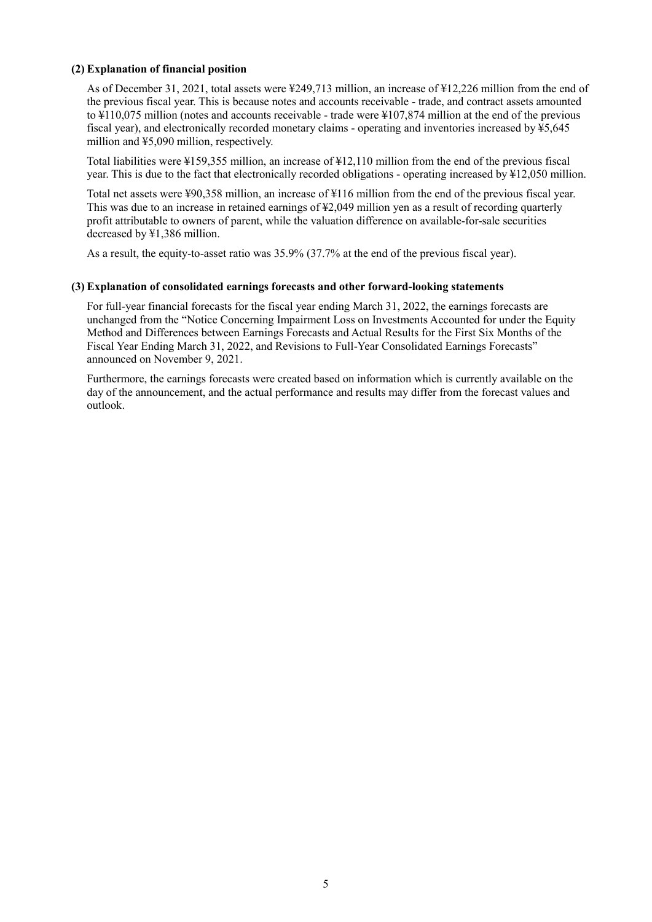#### **(2) Explanation of financial position**

As of December 31, 2021, total assets were ¥249,713 million, an increase of ¥12,226 million from the end of the previous fiscal year. This is because notes and accounts receivable - trade, and contract assets amounted to ¥110,075 million (notes and accounts receivable - trade were ¥107,874 million at the end of the previous fiscal year), and electronically recorded monetary claims - operating and inventories increased by  $\frac{1}{2}$ 5,645 million and ¥5,090 million, respectively.

Total liabilities were ¥159,355 million, an increase of ¥12,110 million from the end of the previous fiscal year. This is due to the fact that electronically recorded obligations - operating increased by ¥12,050 million.

Total net assets were ¥90,358 million, an increase of ¥116 million from the end of the previous fiscal year. This was due to an increase in retained earnings of ¥2,049 million yen as a result of recording quarterly profit attributable to owners of parent, while the valuation difference on available-for-sale securities decreased by ¥1,386 million.

As a result, the equity-to-asset ratio was 35.9% (37.7% at the end of the previous fiscal year).

#### **(3) Explanation of consolidated earnings forecasts and other forward-looking statements**

For full-year financial forecasts for the fiscal year ending March 31, 2022, the earnings forecasts are unchanged from the "Notice Concerning Impairment Loss on Investments Accounted for under the Equity Method and Differences between Earnings Forecasts and Actual Results for the First Six Months of the Fiscal Year Ending March 31, 2022, and Revisions to Full-Year Consolidated Earnings Forecasts" announced on November 9, 2021.

Furthermore, the earnings forecasts were created based on information which is currently available on the day of the announcement, and the actual performance and results may differ from the forecast values and outlook.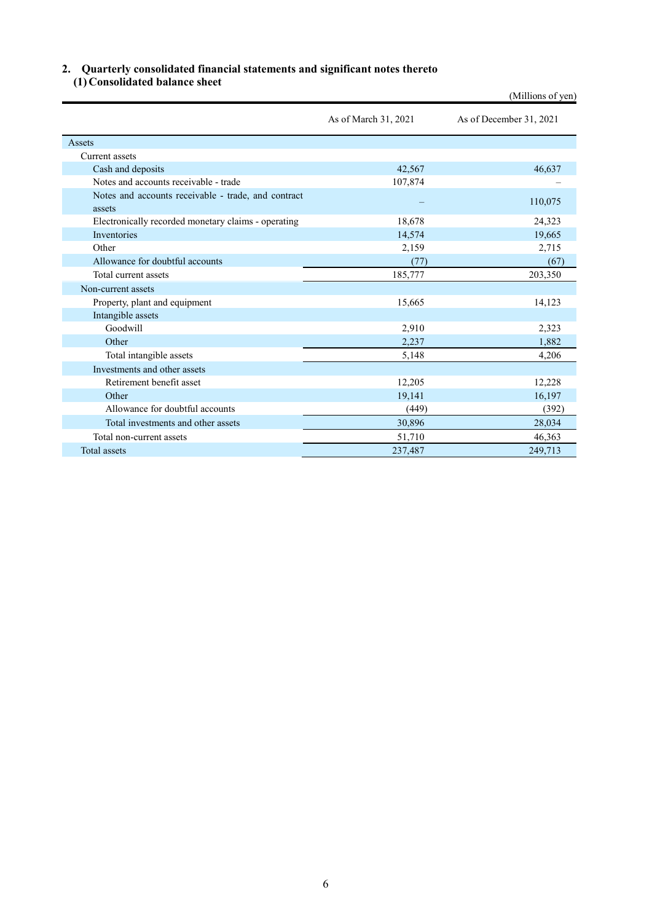# **2. Quarterly consolidated financial statements and significant notes thereto**

**(1) Consolidated balance sheet** 

|                                                               |                      | (Millions of yen)       |
|---------------------------------------------------------------|----------------------|-------------------------|
|                                                               | As of March 31, 2021 | As of December 31, 2021 |
| <b>Assets</b>                                                 |                      |                         |
| Current assets                                                |                      |                         |
| Cash and deposits                                             | 42,567               | 46,637                  |
| Notes and accounts receivable - trade                         | 107,874              |                         |
| Notes and accounts receivable - trade, and contract<br>assets |                      | 110,075                 |
| Electronically recorded monetary claims - operating           | 18,678               | 24,323                  |
| <b>Inventories</b>                                            | 14,574               | 19,665                  |
| Other                                                         | 2,159                | 2,715                   |
| Allowance for doubtful accounts                               | (77)                 | (67)                    |
| Total current assets                                          | 185,777              | 203,350                 |
| Non-current assets                                            |                      |                         |
| Property, plant and equipment                                 | 15,665               | 14,123                  |
| Intangible assets                                             |                      |                         |
| Goodwill                                                      | 2,910                | 2,323                   |
| Other                                                         | 2,237                | 1,882                   |
| Total intangible assets                                       | 5,148                | 4,206                   |
| Investments and other assets                                  |                      |                         |
| Retirement benefit asset                                      | 12,205               | 12,228                  |
| Other                                                         | 19,141               | 16,197                  |
| Allowance for doubtful accounts                               | (449)                | (392)                   |
| Total investments and other assets                            | 30,896               | 28,034                  |
| Total non-current assets                                      | 51,710               | 46,363                  |
| <b>Total assets</b>                                           | 237,487              | 249,713                 |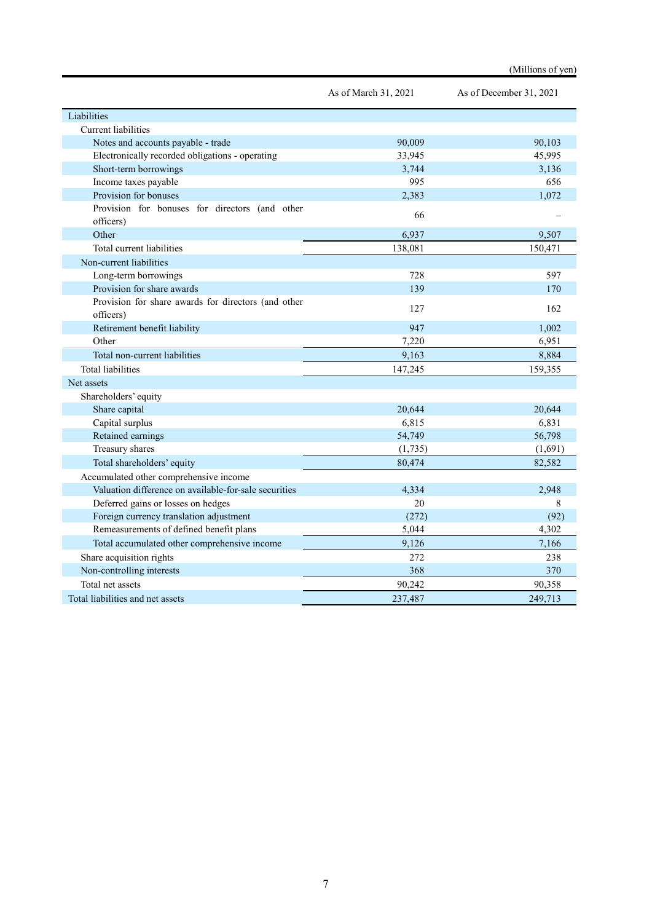|                                                                  | As of March 31, 2021 | As of December 31, 2021 |
|------------------------------------------------------------------|----------------------|-------------------------|
| Liabilities                                                      |                      |                         |
| <b>Current liabilities</b>                                       |                      |                         |
| Notes and accounts payable - trade                               | 90,009               | 90,103                  |
| Electronically recorded obligations - operating                  | 33,945               | 45,995                  |
| Short-term borrowings                                            | 3,744                | 3,136                   |
| Income taxes payable                                             | 995                  | 656                     |
| Provision for bonuses                                            | 2,383                | 1,072                   |
| Provision for bonuses for directors (and other<br>officers)      | 66                   |                         |
| Other                                                            | 6,937                | 9,507                   |
| Total current liabilities                                        | 138,081              | 150,471                 |
| Non-current liabilities                                          |                      |                         |
| Long-term borrowings                                             | 728                  | 597                     |
| Provision for share awards                                       | 139                  | 170                     |
| Provision for share awards for directors (and other<br>officers) | 127                  | 162                     |
| Retirement benefit liability                                     | 947                  | 1,002                   |
| Other                                                            | 7,220                | 6,951                   |
| Total non-current liabilities                                    | 9,163                | 8,884                   |
| <b>Total liabilities</b>                                         | 147,245              | 159,355                 |
| Net assets                                                       |                      |                         |
| Shareholders' equity                                             |                      |                         |
| Share capital                                                    | 20,644               | 20,644                  |
| Capital surplus                                                  | 6,815                | 6,831                   |
| Retained earnings                                                | 54,749               | 56,798                  |
| Treasury shares                                                  | (1,735)              | (1,691)                 |
| Total shareholders' equity                                       | 80,474               | 82,582                  |
| Accumulated other comprehensive income                           |                      |                         |
| Valuation difference on available-for-sale securities            | 4,334                | 2,948                   |
| Deferred gains or losses on hedges                               | 20                   | 8                       |
| Foreign currency translation adjustment                          | (272)                | (92)                    |
| Remeasurements of defined benefit plans                          | 5,044                | 4,302                   |
| Total accumulated other comprehensive income                     | 9,126                | 7,166                   |
| Share acquisition rights                                         | 272                  | 238                     |
| Non-controlling interests                                        | 368                  | 370                     |
| Total net assets                                                 | 90,242               | 90,358                  |
| Total liabilities and net assets                                 | 237,487              | 249,713                 |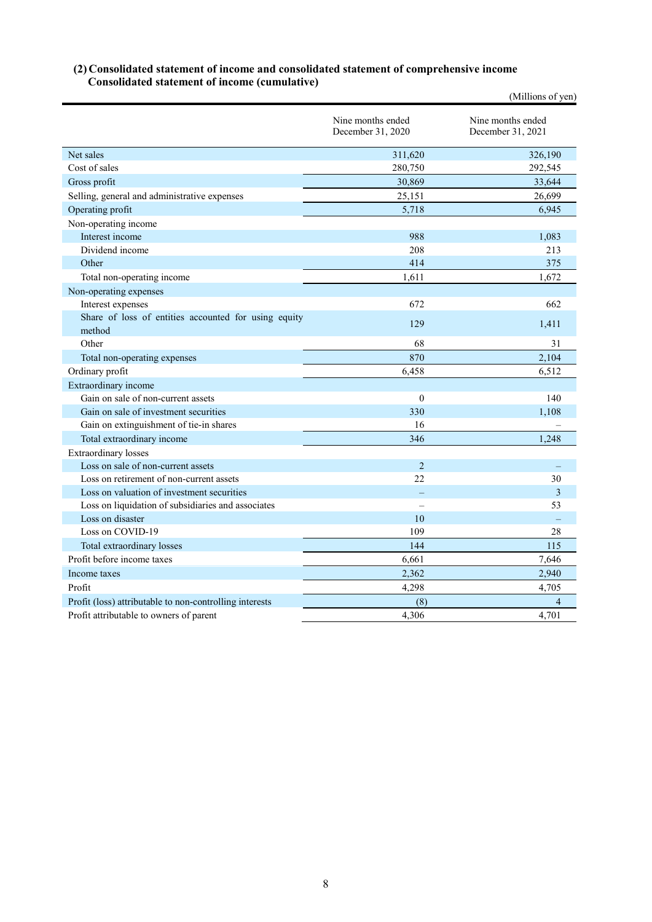#### **(2) Consolidated statement of income and consolidated statement of comprehensive income Consolidated statement of income (cumulative)**

|                                                                |                                        | (Millions of yen)                      |
|----------------------------------------------------------------|----------------------------------------|----------------------------------------|
|                                                                | Nine months ended<br>December 31, 2020 | Nine months ended<br>December 31, 2021 |
| Net sales                                                      | 311,620                                | 326,190                                |
| Cost of sales                                                  | 280,750                                | 292,545                                |
| Gross profit                                                   | 30,869                                 | 33,644                                 |
| Selling, general and administrative expenses                   | 25,151                                 | 26,699                                 |
| Operating profit                                               | 5,718                                  | 6,945                                  |
| Non-operating income                                           |                                        |                                        |
| Interest income                                                | 988                                    | 1,083                                  |
| Dividend income                                                | 208                                    | 213                                    |
| Other                                                          | 414                                    | 375                                    |
| Total non-operating income                                     | 1,611                                  | 1.672                                  |
| Non-operating expenses                                         |                                        |                                        |
| Interest expenses                                              | 672                                    | 662                                    |
| Share of loss of entities accounted for using equity<br>method | 129                                    | 1,411                                  |
| Other                                                          | 68                                     | 31                                     |
| Total non-operating expenses                                   | 870                                    | 2,104                                  |
| Ordinary profit                                                | 6,458                                  | 6,512                                  |
| Extraordinary income                                           |                                        |                                        |
| Gain on sale of non-current assets                             | $\mathbf{0}$                           | 140                                    |
| Gain on sale of investment securities                          | 330                                    | 1,108                                  |
| Gain on extinguishment of tie-in shares                        | 16                                     |                                        |
| Total extraordinary income                                     | 346                                    | 1.248                                  |
| <b>Extraordinary losses</b>                                    |                                        |                                        |
| Loss on sale of non-current assets                             | $\overline{2}$                         |                                        |
| Loss on retirement of non-current assets                       | 22                                     | 30                                     |
| Loss on valuation of investment securities                     |                                        | 3                                      |
| Loss on liquidation of subsidiaries and associates             | $\overline{\phantom{0}}$               | 53                                     |
| Loss on disaster                                               | 10                                     |                                        |
| Loss on COVID-19                                               | 109                                    | 28                                     |
| Total extraordinary losses                                     | 144                                    | 115                                    |
| Profit before income taxes                                     | 6,661                                  | 7,646                                  |
| Income taxes                                                   | 2,362                                  | 2,940                                  |
| Profit                                                         | 4,298                                  | 4,705                                  |
| Profit (loss) attributable to non-controlling interests        | (8)                                    |                                        |
| Profit attributable to owners of parent                        | 4,306                                  | 4,701                                  |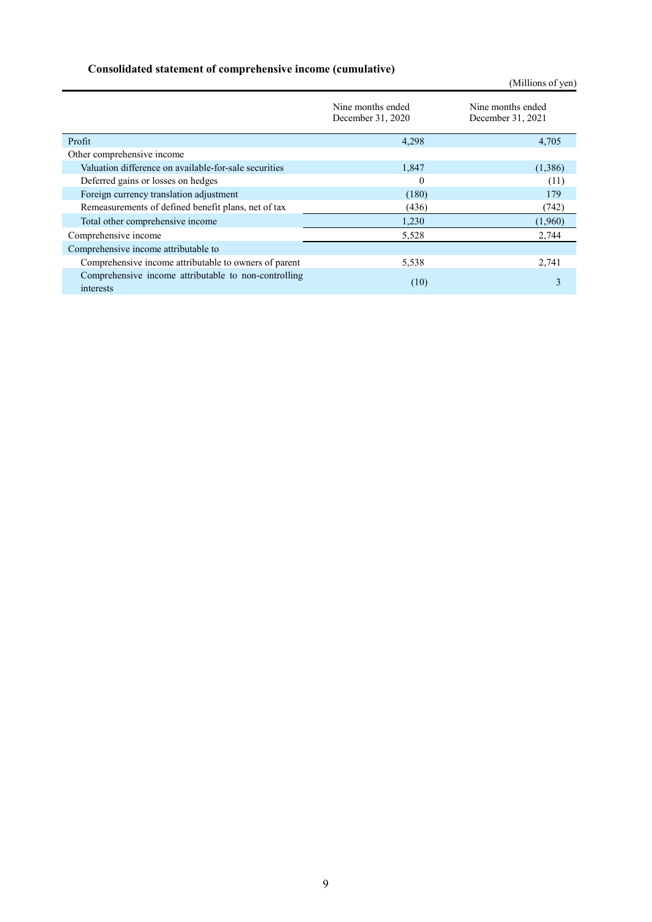# **Consolidated statement of comprehensive income (cumulative)**

|                                                                   |                                        | (Millions of yen)                      |  |  |
|-------------------------------------------------------------------|----------------------------------------|----------------------------------------|--|--|
|                                                                   | Nine months ended<br>December 31, 2020 | Nine months ended<br>December 31, 2021 |  |  |
| Profit                                                            | 4,298                                  | 4,705                                  |  |  |
| Other comprehensive income                                        |                                        |                                        |  |  |
| Valuation difference on available-for-sale securities             | 1,847                                  | (1,386)                                |  |  |
| Deferred gains or losses on hedges                                | 0                                      | (11)                                   |  |  |
| Foreign currency translation adjustment                           | (180)                                  | 179                                    |  |  |
| Remeasurements of defined benefit plans, net of tax               | (436)                                  | (742)                                  |  |  |
| Total other comprehensive income                                  | 1,230                                  | (1,960)                                |  |  |
| Comprehensive income                                              | 5,528                                  | 2,744                                  |  |  |
| Comprehensive income attributable to                              |                                        |                                        |  |  |
| Comprehensive income attributable to owners of parent             | 5,538                                  | 2,741                                  |  |  |
| Comprehensive income attributable to non-controlling<br>interests | (10)                                   | 3                                      |  |  |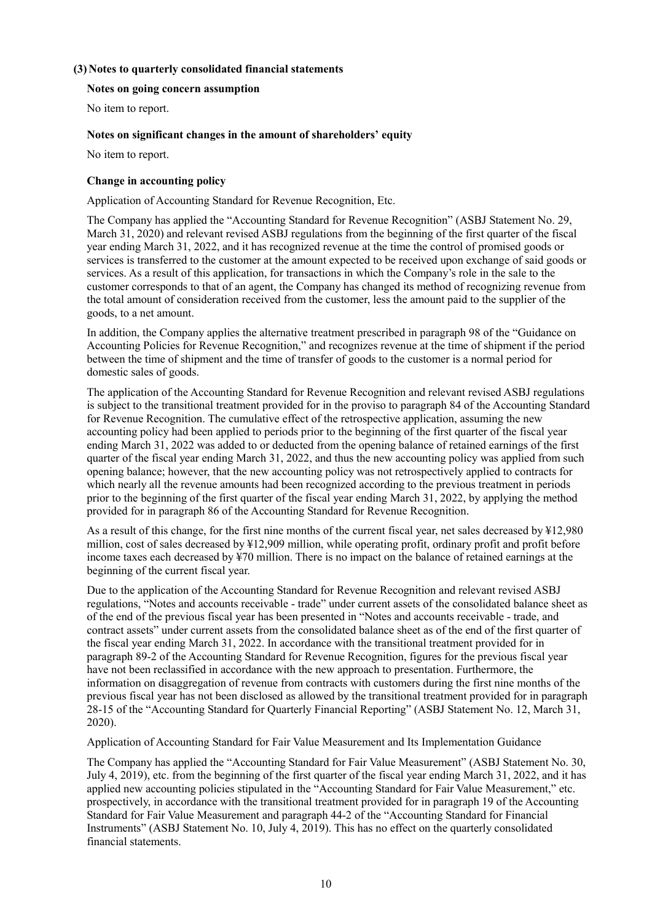## **(3) Notes to quarterly consolidated financial statements**

#### **Notes on going concern assumption**

No item to report.

### **Notes on significant changes in the amount of shareholders' equity**

No item to report.

#### **Change in accounting policy**

Application of Accounting Standard for Revenue Recognition, Etc.

The Company has applied the "Accounting Standard for Revenue Recognition" (ASBJ Statement No. 29, March 31, 2020) and relevant revised ASBJ regulations from the beginning of the first quarter of the fiscal year ending March 31, 2022, and it has recognized revenue at the time the control of promised goods or services is transferred to the customer at the amount expected to be received upon exchange of said goods or services. As a result of this application, for transactions in which the Company's role in the sale to the customer corresponds to that of an agent, the Company has changed its method of recognizing revenue from the total amount of consideration received from the customer, less the amount paid to the supplier of the goods, to a net amount.

In addition, the Company applies the alternative treatment prescribed in paragraph 98 of the "Guidance on Accounting Policies for Revenue Recognition," and recognizes revenue at the time of shipment if the period between the time of shipment and the time of transfer of goods to the customer is a normal period for domestic sales of goods.

The application of the Accounting Standard for Revenue Recognition and relevant revised ASBJ regulations is subject to the transitional treatment provided for in the proviso to paragraph 84 of the Accounting Standard for Revenue Recognition. The cumulative effect of the retrospective application, assuming the new accounting policy had been applied to periods prior to the beginning of the first quarter of the fiscal year ending March 31, 2022 was added to or deducted from the opening balance of retained earnings of the first quarter of the fiscal year ending March 31, 2022, and thus the new accounting policy was applied from such opening balance; however, that the new accounting policy was not retrospectively applied to contracts for which nearly all the revenue amounts had been recognized according to the previous treatment in periods prior to the beginning of the first quarter of the fiscal year ending March 31, 2022, by applying the method provided for in paragraph 86 of the Accounting Standard for Revenue Recognition.

As a result of this change, for the first nine months of the current fiscal year, net sales decreased by ¥12,980 million, cost of sales decreased by ¥12,909 million, while operating profit, ordinary profit and profit before income taxes each decreased by ¥70 million. There is no impact on the balance of retained earnings at the beginning of the current fiscal year.

Due to the application of the Accounting Standard for Revenue Recognition and relevant revised ASBJ regulations, "Notes and accounts receivable - trade" under current assets of the consolidated balance sheet as of the end of the previous fiscal year has been presented in "Notes and accounts receivable - trade, and contract assets" under current assets from the consolidated balance sheet as of the end of the first quarter of the fiscal year ending March 31, 2022. In accordance with the transitional treatment provided for in paragraph 89-2 of the Accounting Standard for Revenue Recognition, figures for the previous fiscal year have not been reclassified in accordance with the new approach to presentation. Furthermore, the information on disaggregation of revenue from contracts with customers during the first nine months of the previous fiscal year has not been disclosed as allowed by the transitional treatment provided for in paragraph 28-15 of the "Accounting Standard for Quarterly Financial Reporting" (ASBJ Statement No. 12, March 31, 2020).

Application of Accounting Standard for Fair Value Measurement and Its Implementation Guidance

The Company has applied the "Accounting Standard for Fair Value Measurement" (ASBJ Statement No. 30, July 4, 2019), etc. from the beginning of the first quarter of the fiscal year ending March 31, 2022, and it has applied new accounting policies stipulated in the "Accounting Standard for Fair Value Measurement," etc. prospectively, in accordance with the transitional treatment provided for in paragraph 19 of the Accounting Standard for Fair Value Measurement and paragraph 44-2 of the "Accounting Standard for Financial Instruments" (ASBJ Statement No. 10, July 4, 2019). This has no effect on the quarterly consolidated financial statements.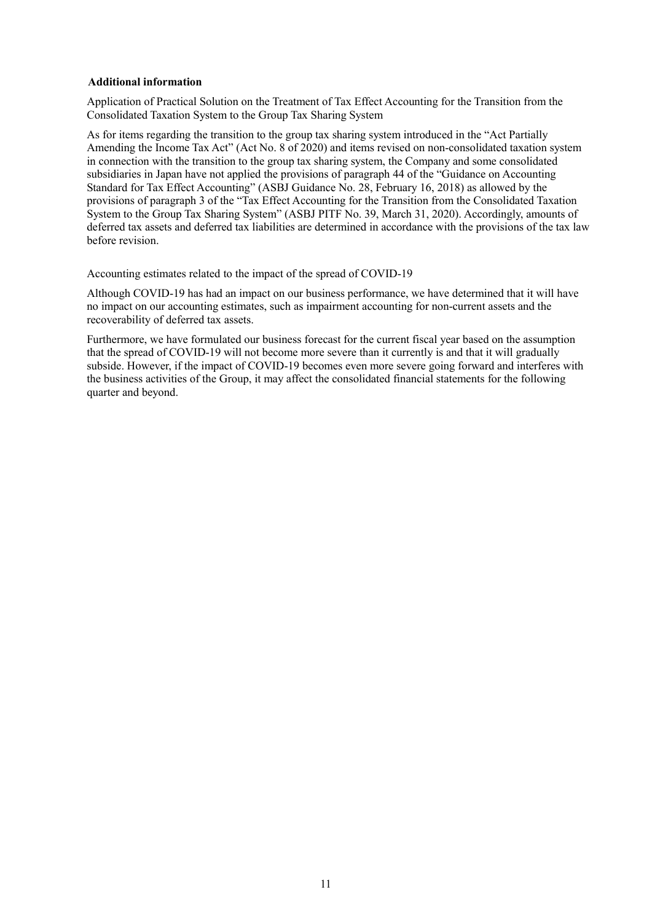#### **Additional information**

Application of Practical Solution on the Treatment of Tax Effect Accounting for the Transition from the Consolidated Taxation System to the Group Tax Sharing System

As for items regarding the transition to the group tax sharing system introduced in the "Act Partially Amending the Income Tax Act" (Act No. 8 of 2020) and items revised on non-consolidated taxation system in connection with the transition to the group tax sharing system, the Company and some consolidated subsidiaries in Japan have not applied the provisions of paragraph 44 of the "Guidance on Accounting Standard for Tax Effect Accounting" (ASBJ Guidance No. 28, February 16, 2018) as allowed by the provisions of paragraph 3 of the "Tax Effect Accounting for the Transition from the Consolidated Taxation System to the Group Tax Sharing System" (ASBJ PITF No. 39, March 31, 2020). Accordingly, amounts of deferred tax assets and deferred tax liabilities are determined in accordance with the provisions of the tax law before revision.

Accounting estimates related to the impact of the spread of COVID-19

Although COVID-19 has had an impact on our business performance, we have determined that it will have no impact on our accounting estimates, such as impairment accounting for non-current assets and the recoverability of deferred tax assets.

Furthermore, we have formulated our business forecast for the current fiscal year based on the assumption that the spread of COVID-19 will not become more severe than it currently is and that it will gradually subside. However, if the impact of COVID-19 becomes even more severe going forward and interferes with the business activities of the Group, it may affect the consolidated financial statements for the following quarter and beyond.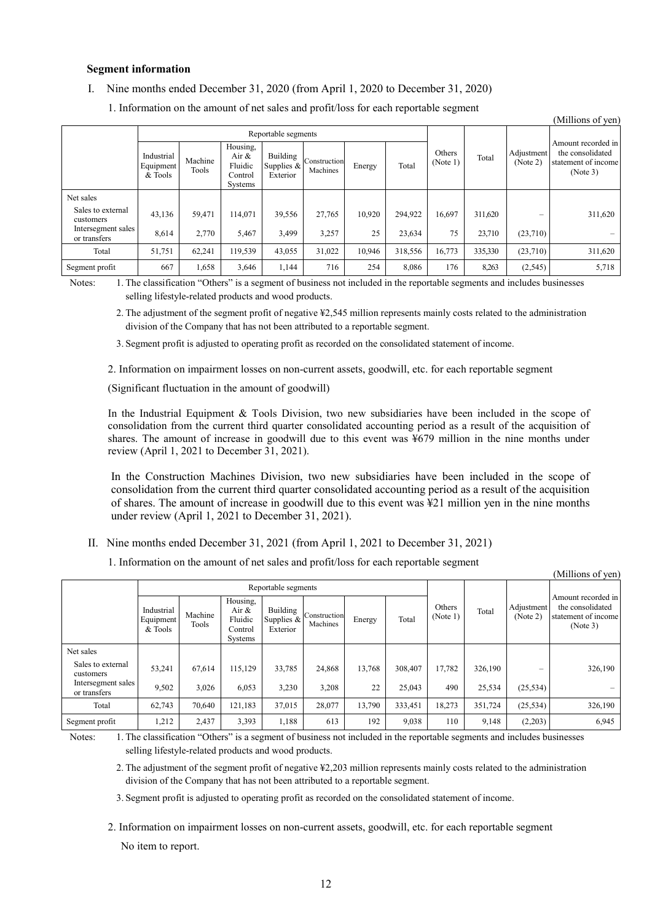#### **Segment information**

I. Nine months ended December 31, 2020 (from April 1, 2020 to December 31, 2020)

| (Millions of yen)                  |                                    |                  |                                                    |                                      |                          |        |         |                    |         |                        |                                                                           |
|------------------------------------|------------------------------------|------------------|----------------------------------------------------|--------------------------------------|--------------------------|--------|---------|--------------------|---------|------------------------|---------------------------------------------------------------------------|
|                                    | Reportable segments                |                  |                                                    |                                      |                          |        |         |                    |         |                        |                                                                           |
|                                    | Industrial<br>Equipment<br>& Tools | Machine<br>Tools | Housing,<br>Air &<br>Fluidic<br>Control<br>Systems | Building<br>Supplies $&$<br>Exterior | Construction<br>Machines | Energy | Total   | Others<br>(Note 1) | Total   | Adjustment<br>(Note 2) | Amount recorded in<br>the consolidated<br>statement of income<br>(Note 3) |
| Net sales                          |                                    |                  |                                                    |                                      |                          |        |         |                    |         |                        |                                                                           |
| Sales to external<br>customers     | 43,136                             | 59,471           | 114,071                                            | 39,556                               | 27,765                   | 10,920 | 294.922 | 16.697             | 311,620 | -                      | 311,620                                                                   |
| Intersegment sales<br>or transfers | 8,614                              | 2,770            | 5,467                                              | 3.499                                | 3,257                    | 25     | 23,634  | 75                 | 23,710  | (23,710)               |                                                                           |
| Total                              | 51,751                             | 62,241           | 119,539                                            | 43,055                               | 31,022                   | 10,946 | 318,556 | 16,773             | 335,330 | (23,710)               | 311,620                                                                   |
| Segment profit                     | 667                                | 1,658            | 3,646                                              | 1,144                                | 716                      | 254    | 8,086   | 176                | 8.263   | (2, 545)               | 5,718                                                                     |

1. Information on the amount of net sales and profit/loss for each reportable segment

Notes: 1. The classification "Others" is a segment of business not included in the reportable segments and includes businesses selling lifestyle-related products and wood products.

 2. The adjustment of the segment profit of negative ¥2,545 million represents mainly costs related to the administration division of the Company that has not been attributed to a reportable segment.

3. Segment profit is adjusted to operating profit as recorded on the consolidated statement of income.

2. Information on impairment losses on non-current assets, goodwill, etc. for each reportable segment

(Significant fluctuation in the amount of goodwill)

In the Industrial Equipment & Tools Division, two new subsidiaries have been included in the scope of consolidation from the current third quarter consolidated accounting period as a result of the acquisition of shares. The amount of increase in goodwill due to this event was ¥679 million in the nine months under review (April 1, 2021 to December 31, 2021).

In the Construction Machines Division, two new subsidiaries have been included in the scope of consolidation from the current third quarter consolidated accounting period as a result of the acquisition of shares. The amount of increase in goodwill due to this event was ¥21 million yen in the nine months under review (April 1, 2021 to December 31, 2021).

(Millions of yen)

II. Nine months ended December 31, 2021 (from April 1, 2021 to December 31, 2021)

1. Information on the amount of net sales and profit/loss for each reportable segment

|                                    | Reportable segments                |                  |                                                    |                                    |                          |        |         |                    |         |                        |                                                                           |
|------------------------------------|------------------------------------|------------------|----------------------------------------------------|------------------------------------|--------------------------|--------|---------|--------------------|---------|------------------------|---------------------------------------------------------------------------|
|                                    | Industrial<br>Equipment<br>& Tools | Machine<br>Tools | Housing,<br>Air &<br>Fluidic<br>Control<br>Systems | Building<br>Supplies &<br>Exterior | Construction<br>Machines | Energy | Total   | Others<br>(Note 1) | Total   | Adjustment<br>(Note 2) | Amount recorded in<br>the consolidated<br>statement of income<br>(Note 3) |
| Net sales                          |                                    |                  |                                                    |                                    |                          |        |         |                    |         |                        |                                                                           |
| Sales to external<br>customers     | 53,241                             | 67,614           | 115,129                                            | 33,785                             | 24,868                   | 13,768 | 308,407 | 17,782             | 326,190 |                        | 326,190                                                                   |
| Intersegment sales<br>or transfers | 9,502                              | 3,026            | 6,053                                              | 3.230                              | 3.208                    | 22     | 25,043  | 490                | 25,534  | (25, 534)              | $\overline{\phantom{a}}$                                                  |
| Total                              | 62,743                             | 70.640           | 121,183                                            | 37,015                             | 28,077                   | 13,790 | 333,451 | 18,273             | 351,724 | (25, 534)              | 326,190                                                                   |
| Segment profit                     | 1,212                              | 2,437            | 3,393                                              | 1,188                              | 613                      | 192    | 9,038   | 110                | 9,148   | (2,203)                | 6,945                                                                     |

Notes: 1. The classification "Others" is a segment of business not included in the reportable segments and includes businesses selling lifestyle-related products and wood products.

 2. The adjustment of the segment profit of negative ¥2,203 million represents mainly costs related to the administration division of the Company that has not been attributed to a reportable segment.

3. Segment profit is adjusted to operating profit as recorded on the consolidated statement of income.

2. Information on impairment losses on non-current assets, goodwill, etc. for each reportable segment No item to report.